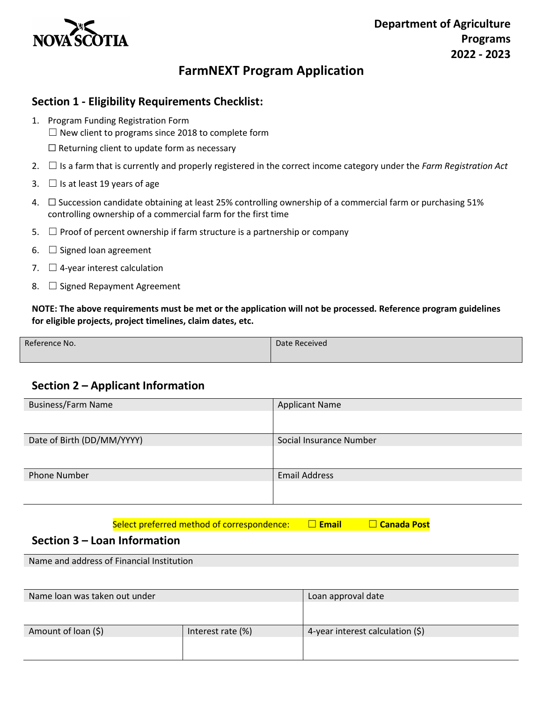

## **FarmNEXT Program Application**

### **Section 1 - Eligibility Requirements Checklist:**

- 1. Program Funding Registration Form
	- $\Box$  New client to programs since 2018 to complete form
	- $\Box$  Returning client to update form as necessary
- 2. ☐ Is a farm that is currently and properly registered in the correct income category under the *Farm Registration Act*
- 3.  $\Box$  Is at least 19 years of age
- 4. ☐ Succession candidate obtaining at least 25% controlling ownership of a commercial farm or purchasing 51% controlling ownership of a commercial farm for the first time
- 5.  $\Box$  Proof of percent ownership if farm structure is a partnership or company
- 6.  $\Box$  Signed loan agreement
- 7.  $\Box$  4-year interest calculation
- 8. □ Signed Repayment Agreement

**NOTE: The above requirements must be met or the application will not be processed. Reference program guidelines for eligible projects, project timelines, claim dates, etc.** 

| Reference No. | Date Received |  |
|---------------|---------------|--|
|               |               |  |

## **Section 2 – Applicant Information**

| <b>Business/Farm Name</b>  | <b>Applicant Name</b>   |  |
|----------------------------|-------------------------|--|
|                            |                         |  |
| Date of Birth (DD/MM/YYYY) | Social Insurance Number |  |
|                            |                         |  |
| <b>Phone Number</b>        | <b>Email Address</b>    |  |
|                            |                         |  |

Select preferred method of correspondence: □ Email □ Canada Post

#### **Section 3 – Loan Information**

Name and address of Financial Institution

| Name loan was taken out under |                   | Loan approval date                  |
|-------------------------------|-------------------|-------------------------------------|
|                               |                   |                                     |
|                               |                   |                                     |
| Amount of loan (\$)           | Interest rate (%) | 4-year interest calculation $(\xi)$ |
|                               |                   |                                     |
|                               |                   |                                     |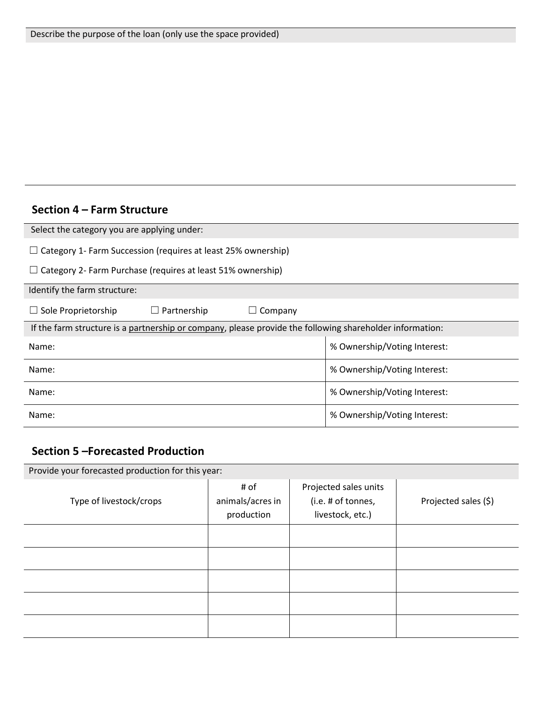## **Section 4 – Farm Structure**

| Select the category you are applying under:                                                              |                              |  |  |  |  |
|----------------------------------------------------------------------------------------------------------|------------------------------|--|--|--|--|
| $\Box$ Category 1- Farm Succession (requires at least 25% ownership)                                     |                              |  |  |  |  |
| $\Box$ Category 2- Farm Purchase (requires at least 51% ownership)                                       |                              |  |  |  |  |
| Identify the farm structure:                                                                             |                              |  |  |  |  |
| Partnership<br>$\Box$ Sole Proprietorship<br>Company                                                     |                              |  |  |  |  |
| If the farm structure is a partnership or company, please provide the following shareholder information: |                              |  |  |  |  |
| Name:                                                                                                    | % Ownership/Voting Interest: |  |  |  |  |
| Name:                                                                                                    | % Ownership/Voting Interest: |  |  |  |  |
| Name:                                                                                                    | % Ownership/Voting Interest: |  |  |  |  |
| Name:                                                                                                    | % Ownership/Voting Interest: |  |  |  |  |

# **Section 5 –Forecasted Production**

| Provide your forecasted production for this year: |                                        |                                                                 |                      |  |  |
|---------------------------------------------------|----------------------------------------|-----------------------------------------------------------------|----------------------|--|--|
| Type of livestock/crops                           | # of<br>animals/acres in<br>production | Projected sales units<br>(i.e. # of tonnes,<br>livestock, etc.) | Projected sales (\$) |  |  |
|                                                   |                                        |                                                                 |                      |  |  |
|                                                   |                                        |                                                                 |                      |  |  |
|                                                   |                                        |                                                                 |                      |  |  |
|                                                   |                                        |                                                                 |                      |  |  |
|                                                   |                                        |                                                                 |                      |  |  |